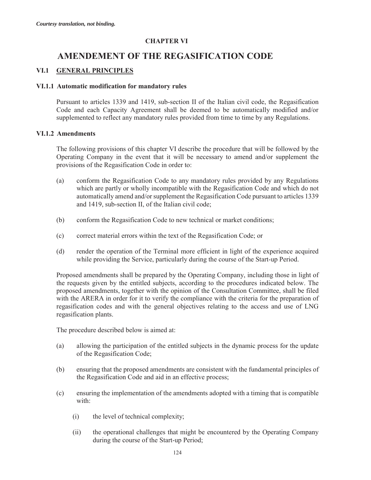# **CHAPTER VI**

# **AMENDEMENT OF THE REGASIFICATION CODE**

# **VI.1 GENERAL PRINCIPLES**

## **VI.1.1 Automatic modification for mandatory rules**

Pursuant to articles 1339 and 1419, sub-section II of the Italian civil code, the Regasification Code and each Capacity Agreement shall be deemed to be automatically modified and/or supplemented to reflect any mandatory rules provided from time to time by any Regulations.

## **VI.1.2 Amendments**

The following provisions of this chapter VI describe the procedure that will be followed by the Operating Company in the event that it will be necessary to amend and/or supplement the provisions of the Regasification Code in order to:

- (a) conform the Regasification Code to any mandatory rules provided by any Regulations which are partly or wholly incompatible with the Regasification Code and which do not automatically amend and/or supplement the Regasification Code pursuant to articles 1339 and 1419, sub-section II, of the Italian civil code;
- (b) conform the Regasification Code to new technical or market conditions;
- (c) correct material errors within the text of the Regasification Code; or
- (d) render the operation of the Terminal more efficient in light of the experience acquired while providing the Service, particularly during the course of the Start-up Period.

Proposed amendments shall be prepared by the Operating Company, including those in light of the requests given by the entitled subjects, according to the procedures indicated below. The proposed amendments, together with the opinion of the Consultation Committee, shall be filed with the ARERA in order for it to verify the compliance with the criteria for the preparation of regasification codes and with the general objectives relating to the access and use of LNG regasification plants.

The procedure described below is aimed at:

- (a) allowing the participation of the entitled subjects in the dynamic process for the update of the Regasification Code;
- (b) ensuring that the proposed amendments are consistent with the fundamental principles of the Regasification Code and aid in an effective process;
- (c) ensuring the implementation of the amendments adopted with a timing that is compatible with:
	- (i) the level of technical complexity;
	- (ii) the operational challenges that might be encountered by the Operating Company during the course of the Start-up Period;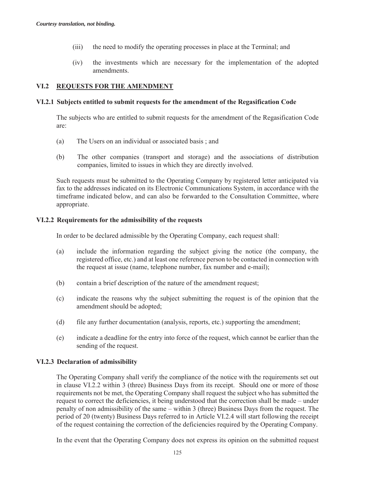- (iii) the need to modify the operating processes in place at the Terminal; and
- (iv) the investments which are necessary for the implementation of the adopted amendments.

# **VI.2 REQUESTS FOR THE AMENDMENT**

## **VI.2.1 Subjects entitled to submit requests for the amendment of the Regasification Code**

The subjects who are entitled to submit requests for the amendment of the Regasification Code are:

- (a) The Users on an individual or associated basis ; and
- (b) The other companies (transport and storage) and the associations of distribution companies, limited to issues in which they are directly involved.

Such requests must be submitted to the Operating Company by registered letter anticipated via fax to the addresses indicated on its Electronic Communications System, in accordance with the timeframe indicated below, and can also be forwarded to the Consultation Committee, where appropriate.

## **VI.2.2 Requirements for the admissibility of the requests**

In order to be declared admissible by the Operating Company, each request shall:

- (a) include the information regarding the subject giving the notice (the company, the registered office, etc.) and at least one reference person to be contacted in connection with the request at issue (name, telephone number, fax number and e-mail);
- (b) contain a brief description of the nature of the amendment request;
- (c) indicate the reasons why the subject submitting the request is of the opinion that the amendment should be adopted;
- (d) file any further documentation (analysis, reports, etc.) supporting the amendment;
- (e) indicate a deadline for the entry into force of the request, which cannot be earlier than the sending of the request.

#### **VI.2.3 Declaration of admissibility**

The Operating Company shall verify the compliance of the notice with the requirements set out in clause VI.2.2 within 3 (three) Business Days from its receipt. Should one or more of those requirements not be met, the Operating Company shall request the subject who has submitted the request to correct the deficiencies, it being understood that the correction shall be made – under penalty of non admissibility of the same – within 3 (three) Business Days from the request. The period of 20 (twenty) Business Days referred to in Article VI.2.4 will start following the receipt of the request containing the correction of the deficiencies required by the Operating Company.

In the event that the Operating Company does not express its opinion on the submitted request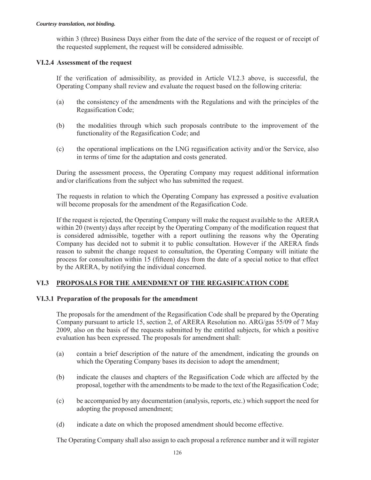within 3 (three) Business Days either from the date of the service of the request or of receipt of the requested supplement, the request will be considered admissible.

# **VI.2.4 Assessment of the request**

If the verification of admissibility, as provided in Article VI.2.3 above, is successful, the Operating Company shall review and evaluate the request based on the following criteria:

- (a) the consistency of the amendments with the Regulations and with the principles of the Regasification Code;
- (b) the modalities through which such proposals contribute to the improvement of the functionality of the Regasification Code; and
- (c) the operational implications on the LNG regasification activity and/or the Service, also in terms of time for the adaptation and costs generated.

During the assessment process, the Operating Company may request additional information and/or clarifications from the subject who has submitted the request.

The requests in relation to which the Operating Company has expressed a positive evaluation will become proposals for the amendment of the Regasification Code.

If the request is rejected, the Operating Company will make the request available to the ARERA within 20 (twenty) days after receipt by the Operating Company of the modification request that is considered admissible, together with a report outlining the reasons why the Operating Company has decided not to submit it to public consultation. However if the ARERA finds reason to submit the change request to consultation, the Operating Company will initiate the process for consultation within 15 (fifteen) days from the date of a special notice to that effect by the ARERA, by notifying the individual concerned.

# **VI.3 PROPOSALS FOR THE AMENDMENT OF THE REGASIFICATION CODE**

# **VI.3.1 Preparation of the proposals for the amendment**

The proposals for the amendment of the Regasification Code shall be prepared by the Operating Company pursuant to article 15, section 2, of ARERA Resolution no. ARG/gas 55/09 of 7 May 2009, also on the basis of the requests submitted by the entitled subjects, for which a positive evaluation has been expressed. The proposals for amendment shall:

- (a) contain a brief description of the nature of the amendment, indicating the grounds on which the Operating Company bases its decision to adopt the amendment;
- (b) indicate the clauses and chapters of the Regasification Code which are affected by the proposal, together with the amendments to be made to the text of the Regasification Code;
- (c) be accompanied by any documentation (analysis, reports, etc.) which support the need for adopting the proposed amendment;
- (d) indicate a date on which the proposed amendment should become effective.

The Operating Company shall also assign to each proposal a reference number and it will register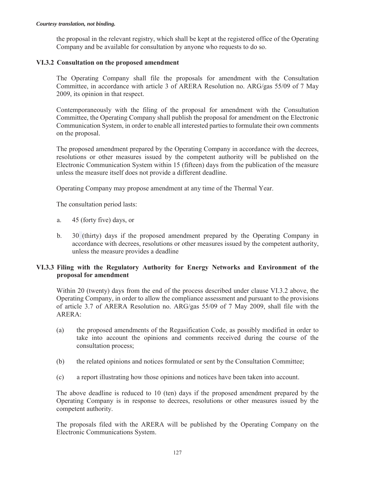the proposal in the relevant registry, which shall be kept at the registered office of the Operating Company and be available for consultation by anyone who requests to do so.

# **VI.3.2 Consultation on the proposed amendment**

The Operating Company shall file the proposals for amendment with the Consultation Committee, in accordance with article 3 of ARERA Resolution no. ARG/gas 55/09 of 7 May 2009, its opinion in that respect.

Contemporaneously with the filing of the proposal for amendment with the Consultation Committee, the Operating Company shall publish the proposal for amendment on the Electronic Communication System, in order to enable all interested parties to formulate their own comments on the proposal.

The proposed amendment prepared by the Operating Company in accordance with the decrees, resolutions or other measures issued by the competent authority will be published on the Electronic Communication System within 15 (fifteen) days from the publication of the measure unless the measure itself does not provide a different deadline.

Operating Company may propose amendment at any time of the Thermal Year.

The consultation period lasts:

- a. 45 (forty five) days, or
- b. 30 (thirty) days if the proposed amendment prepared by the Operating Company in accordance with decrees, resolutions or other measures issued by the competent authority, unless the measure provides a deadline

## **VI.3.3 Filing with the Regulatory Authority for Energy Networks and Environment of the proposal for amendment**

Within 20 (twenty) days from the end of the process described under clause VI.3.2 above, the Operating Company, in order to allow the compliance assessment and pursuant to the provisions of article 3.7 of ARERA Resolution no. ARG/gas 55/09 of 7 May 2009, shall file with the ARERA:

- (a) the proposed amendments of the Regasification Code, as possibly modified in order to take into account the opinions and comments received during the course of the consultation process;
- (b) the related opinions and notices formulated or sent by the Consultation Committee;
- (c) a report illustrating how those opinions and notices have been taken into account.

The above deadline is reduced to 10 (ten) days if the proposed amendment prepared by the Operating Company is in response to decrees, resolutions or other measures issued by the competent authority.

The proposals filed with the ARERA will be published by the Operating Company on the Electronic Communications System.